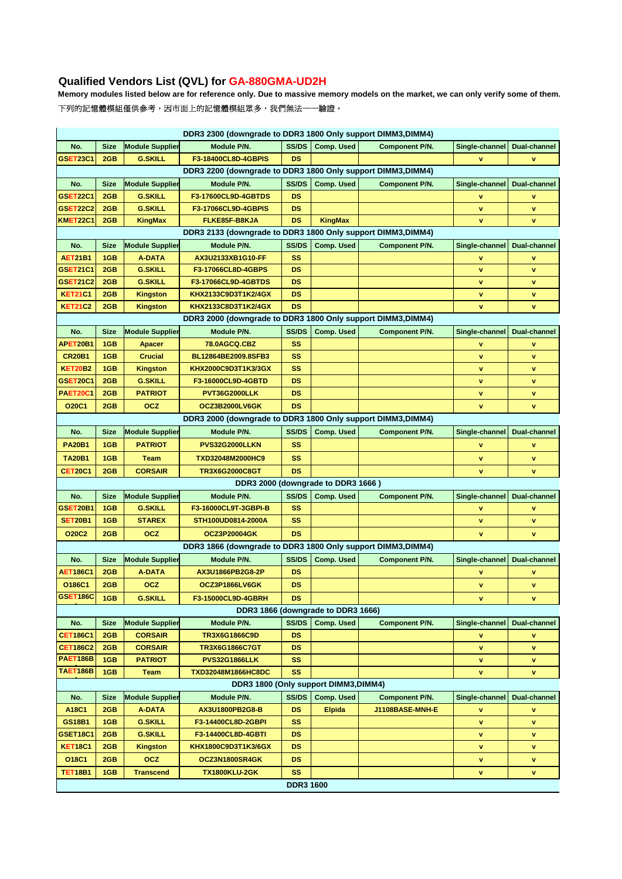# **Qualified Vendors List (QVL) for GA-880GMA-UD2H**

**Memory modules listed below are for reference only. Due to massive memory models on the market, we can only verify some of them.** 下列的記憶體模組僅供參考,因市面上的記憶體模組眾多,我們無法一一驗證。

| DDR3 2300 (downgrade to DDR3 1800 Only support DIMM3, DIMM4)                                                                                                                               |                                                              |                        |                                                              |                  |                                    |                       |                |                     |  |
|--------------------------------------------------------------------------------------------------------------------------------------------------------------------------------------------|--------------------------------------------------------------|------------------------|--------------------------------------------------------------|------------------|------------------------------------|-----------------------|----------------|---------------------|--|
| No.                                                                                                                                                                                        | <b>Size</b>                                                  | <b>Module Supplier</b> | Module P/N.                                                  | SS/DS            | <b>Comp. Used</b>                  | Component P/N.        | Single-channel | <b>Dual-channel</b> |  |
| <b>GSET23C1</b>                                                                                                                                                                            | 2GB                                                          | <b>G.SKILL</b>         | F3-18400CL8D-4GBPIS                                          | <b>DS</b>        |                                    |                       | v              | $\mathbf v$         |  |
| DDR3 2200 (downgrade to DDR3 1800 Only support DIMM3, DIMM4)                                                                                                                               |                                                              |                        |                                                              |                  |                                    |                       |                |                     |  |
| No.                                                                                                                                                                                        | <b>Size</b>                                                  | <b>Module Supplier</b> | Module P/N.                                                  | SS/DS            | <b>Comp. Used</b>                  | Component P/N.        | Single-channel | Dual-channel        |  |
| <b>GSET22C1</b>                                                                                                                                                                            | 2GB                                                          | <b>G.SKILL</b>         | F3-17600CL9D-4GBTDS                                          | <b>DS</b>        |                                    |                       | v              | $\mathbf v$         |  |
| <b>GSET22C2</b>                                                                                                                                                                            | 2GB                                                          | <b>G.SKILL</b>         | F3-17066CL9D-4GBPIS                                          | <b>DS</b>        |                                    |                       | v              | v                   |  |
| <b>KMET22C1</b>                                                                                                                                                                            | 2GB                                                          | <b>KingMax</b>         | FLKE85F-B8KJA                                                | <b>DS</b>        | <b>KingMax</b>                     |                       | v              | $\mathbf v$         |  |
|                                                                                                                                                                                            |                                                              |                        | DDR3 2133 (downgrade to DDR3 1800 Only support DIMM3, DIMM4) |                  |                                    |                       |                |                     |  |
| No.                                                                                                                                                                                        | <b>Size</b>                                                  | <b>Module Supplier</b> | Module P/N.                                                  | <b>SS/DS</b>     | <b>Comp. Used</b>                  | <b>Component P/N.</b> | Single-channel | Dual-channel        |  |
| <b>AET21B1</b>                                                                                                                                                                             | 1GB                                                          | <b>A-DATA</b>          | AX3U2133XB1G10-FF                                            | <b>SS</b>        |                                    |                       | v              | $\mathbf{v}$        |  |
| <b>GSET21C1</b>                                                                                                                                                                            | 2GB                                                          | <b>G.SKILL</b>         | F3-17066CL8D-4GBPS                                           | <b>DS</b>        |                                    |                       | v              | v                   |  |
| <b>GSET21C2</b>                                                                                                                                                                            | 2GB                                                          | <b>G.SKILL</b>         | F3-17066CL9D-4GBTDS                                          | <b>DS</b>        |                                    |                       | v              | v                   |  |
| <b>KET21C1</b>                                                                                                                                                                             | 2GB                                                          | <b>Kingston</b>        | KHX2133C9D3T1K2/4GX                                          | <b>DS</b>        |                                    |                       | v              | v                   |  |
| <b>KET21C2</b>                                                                                                                                                                             | 2GB                                                          | <b>Kingston</b>        | KHX2133C8D3T1K2/4GX                                          | <b>DS</b>        |                                    |                       | $\mathbf v$    | v                   |  |
|                                                                                                                                                                                            | DDR3 2000 (downgrade to DDR3 1800 Only support DIMM3, DIMM4) |                        |                                                              |                  |                                    |                       |                |                     |  |
| No.                                                                                                                                                                                        | <b>Size</b>                                                  | <b>Module Supplier</b> | Module P/N.                                                  | <b>SS/DS</b>     | <b>Comp. Used</b>                  | <b>Component P/N.</b> | Single-channel | Dual-channel        |  |
| APET20B1                                                                                                                                                                                   | 1GB                                                          | <b>Apacer</b>          | 78.0AGCQ.CBZ                                                 | <b>SS</b>        |                                    |                       | v              | ۷                   |  |
| <b>CR20B1</b>                                                                                                                                                                              | 1GB                                                          | <b>Crucial</b>         | BL12864BE2009.8SFB3                                          | <b>SS</b>        |                                    |                       | $\mathbf{v}$   | $\mathbf v$         |  |
| <b>KET20B2</b>                                                                                                                                                                             | 1GB                                                          | <b>Kingston</b>        | KHX2000C9D3T1K3/3GX                                          | <b>SS</b>        |                                    |                       | v              | ۷                   |  |
| <b>GSET20C1</b>                                                                                                                                                                            | 2GB                                                          | <b>G.SKILL</b>         | F3-16000CL9D-4GBTD                                           | <b>DS</b>        |                                    |                       | v              | v                   |  |
| <b>PAET20C1</b>                                                                                                                                                                            | 2GB                                                          | <b>PATRIOT</b>         | PVT36G2000LLK                                                | <b>DS</b>        |                                    |                       | v              | v                   |  |
| <b>O20C1</b>                                                                                                                                                                               | 2GB                                                          | <b>OCZ</b>             | OCZ3B2000LV6GK                                               | <b>DS</b>        |                                    |                       | v              | v                   |  |
|                                                                                                                                                                                            |                                                              |                        | DDR3 2000 (downgrade to DDR3 1800 Only support DIMM3, DIMM4) |                  |                                    |                       |                |                     |  |
| No.                                                                                                                                                                                        | <b>Size</b>                                                  | <b>Module Supplier</b> | Module P/N.                                                  | <b>SS/DS</b>     | <b>Comp. Used</b>                  | <b>Component P/N.</b> | Single-channel | <b>Dual-channel</b> |  |
| <b>PA20B1</b>                                                                                                                                                                              | 1GB                                                          | <b>PATRIOT</b>         | PVS32G2000LLKN                                               | <b>SS</b>        |                                    |                       | v              | v                   |  |
| <b>TA20B1</b>                                                                                                                                                                              | 1GB                                                          | Team                   | TXD32048M2000HC9                                             | <b>SS</b>        |                                    |                       | v              | $\mathbf v$         |  |
| <b>CET20C1</b>                                                                                                                                                                             | 2GB                                                          | <b>CORSAIR</b>         | TR3X6G2000C8GT                                               | <b>DS</b>        |                                    |                       | v              | v                   |  |
|                                                                                                                                                                                            |                                                              |                        |                                                              |                  | DDR3 2000 (downgrade to DDR3 1666) |                       |                |                     |  |
| No.                                                                                                                                                                                        | <b>Size</b>                                                  | <b>Module Supplier</b> | Module P/N.                                                  | <b>SS/DS</b>     | <b>Comp. Used</b>                  | Component P/N.        | Single-channel | <b>Dual-channel</b> |  |
| <b>GSET20B1</b>                                                                                                                                                                            | 1GB                                                          | <b>G.SKILL</b>         | F3-16000CL9T-3GBPI-B                                         | SS               |                                    |                       | v              | v                   |  |
| <b>SET20B1</b>                                                                                                                                                                             | 1GB                                                          | <b>STAREX</b>          | STH100UD0814-2000A                                           | <b>SS</b>        |                                    |                       | v              | v                   |  |
| <b>O20C2</b>                                                                                                                                                                               | 2GB                                                          | <b>OCZ</b>             | <b>OCZ3P20004GK</b>                                          | <b>DS</b>        |                                    |                       | v              | v                   |  |
|                                                                                                                                                                                            |                                                              |                        | DDR3 1866 (downgrade to DDR3 1800 Only support DIMM3, DIMM4) |                  |                                    |                       |                |                     |  |
| No.                                                                                                                                                                                        | <b>Size</b>                                                  | <b>Module Supplier</b> | Module P/N.                                                  | <b>SS/DS</b>     | <b>Comp. Used</b>                  | <b>Component P/N.</b> | Single-channel | Dual-channel        |  |
| <b>AET186C1</b>                                                                                                                                                                            | 2GB                                                          | <b>A-DATA</b>          | AX3U1866PB2G8-2P                                             | <b>DS</b>        |                                    |                       | v              | v                   |  |
| O186C1                                                                                                                                                                                     | 2GB                                                          | <b>OCZ</b>             | OCZ3P1866LV6GK                                               | <b>DS</b>        |                                    |                       | $\mathbf v$    | $\mathbf v$         |  |
| GSET186C                                                                                                                                                                                   | 1GB                                                          | <b>G.SKILL</b>         | F3-15000CL9D-4GBRH                                           | DS               |                                    |                       | v              | v                   |  |
|                                                                                                                                                                                            |                                                              |                        |                                                              |                  |                                    |                       |                |                     |  |
| DDR3 1866 (downgrade to DDR3 1666)<br><b>Module Supplier</b><br>SS/DS<br><b>Comp. Used</b><br>No.<br><b>Size</b><br>Module P/N.<br><b>Component P/N.</b><br>Single-channel<br>Dual-channel |                                                              |                        |                                                              |                  |                                    |                       |                |                     |  |
| <b>CET186C1</b>                                                                                                                                                                            | 2GB                                                          | <b>CORSAIR</b>         | TR3X6G1866C9D                                                | DS               |                                    |                       | v              | v                   |  |
| <b>CET186C2</b>                                                                                                                                                                            | 2GB                                                          | <b>CORSAIR</b>         | TR3X6G1866C7GT                                               | <b>DS</b>        |                                    |                       | $\mathbf v$    | v                   |  |
| PAET186B                                                                                                                                                                                   | 1GB                                                          | <b>PATRIOT</b>         | <b>PVS32G1866LLK</b>                                         | <b>SS</b>        |                                    |                       | v              | v                   |  |
| <b>TAET186B</b>                                                                                                                                                                            | 1GB                                                          | <b>Team</b>            | TXD32048M1866HC8DC                                           | SS               |                                    |                       | v              | v                   |  |
|                                                                                                                                                                                            |                                                              |                        | DDR3 1800 (Only support DIMM3, DIMM4)                        |                  |                                    |                       |                |                     |  |
| No.                                                                                                                                                                                        | <b>Size</b>                                                  | <b>Module Supplier</b> | Module P/N.                                                  | SS/DS            | Comp. Used                         | <b>Component P/N.</b> | Single-channel | <b>Dual-channel</b> |  |
| A18C1                                                                                                                                                                                      | 2GB                                                          | <b>A-DATA</b>          | AX3U1800PB2G8-B                                              | <b>DS</b>        | <b>Elpida</b>                      | J1108BASE-MNH-E       | v              | v                   |  |
| <b>GS18B1</b>                                                                                                                                                                              | 1GB                                                          | <b>G.SKILL</b>         | F3-14400CL8D-2GBPI                                           | SS               |                                    |                       | v              | v                   |  |
| GSET18C1                                                                                                                                                                                   | 2GB                                                          | <b>G.SKILL</b>         | F3-14400CL8D-4GBTI                                           | DS               |                                    |                       | v              | v                   |  |
| <b>KET18C1</b>                                                                                                                                                                             | 2GB                                                          | <b>Kingston</b>        | KHX1800C9D3T1K3/6GX                                          | DS               |                                    |                       | v              | v                   |  |
| O18C1                                                                                                                                                                                      | 2GB                                                          | <b>OCZ</b>             | OCZ3N1800SR4GK                                               | DS               |                                    |                       | v              | v                   |  |
| <b>TET18B1</b>                                                                                                                                                                             | 1GB                                                          | <b>Transcend</b>       | <b>TX1800KLU-2GK</b>                                         | <b>SS</b>        |                                    |                       | v              | v                   |  |
|                                                                                                                                                                                            |                                                              |                        |                                                              | <b>DDR3 1600</b> |                                    |                       |                |                     |  |
|                                                                                                                                                                                            |                                                              |                        |                                                              |                  |                                    |                       |                |                     |  |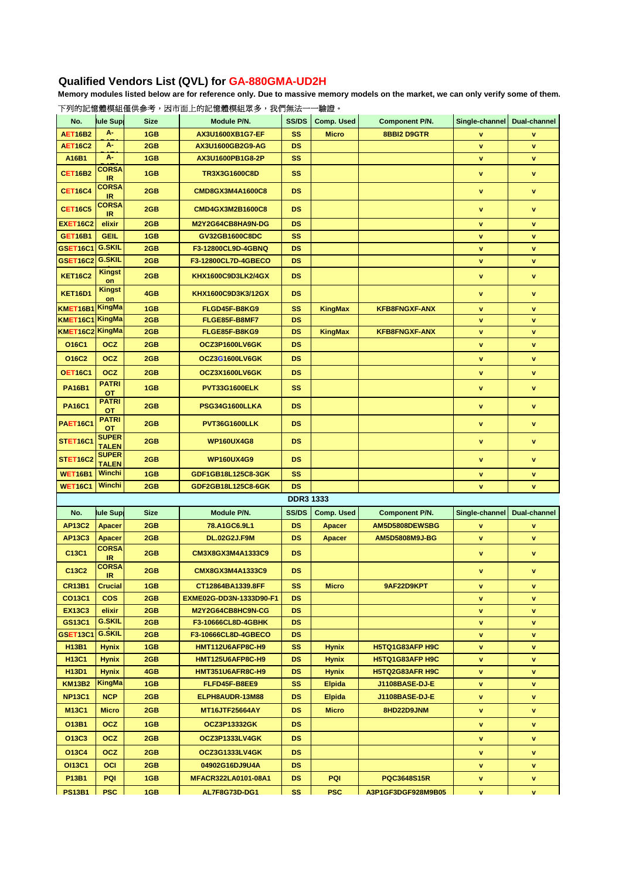## **Qualified Vendors List (QVL) for GA-880GMA-UD2H**

**Memory modules listed below are for reference only. Due to massive memory models on the market, we can only verify some of them.**

| No.                            | lule Sup                      | <b>Size</b> | Module P/N.                | <b>SS/DS</b>     | <b>Comp. Used</b> | Component P/N.         | Single-channel | Dual-channel        |
|--------------------------------|-------------------------------|-------------|----------------------------|------------------|-------------------|------------------------|----------------|---------------------|
| <b>AET16B2</b>                 | А-                            | 1GB         | AX3U1600XB1G7-EF           | <b>SS</b>        | <b>Micro</b>      | 8BBI2 D9GTR            | v              | v                   |
| <b>AET16C2</b>                 | А-                            | 2GB         | AX3U1600GB2G9-AG           | <b>DS</b>        |                   |                        | $\mathbf v$    | v                   |
| A16B1                          | А-                            | 1GB         | AX3U1600PB1G8-2P           | <b>SS</b>        |                   |                        | $\mathbf v$    | v                   |
| <b>CET16B2</b>                 | <b>CORSA</b>                  | 1GB         | TR3X3G1600C8D              | <b>SS</b>        |                   |                        | $\mathbf v$    | v                   |
|                                | <b>IR</b><br><b>CORSA</b>     |             |                            |                  |                   |                        |                |                     |
| <b>CET16C4</b>                 | IR                            | 2GB         | <b>CMD8GX3M4A1600C8</b>    | <b>DS</b>        |                   |                        | $\mathbf v$    | $\mathbf v$         |
| <b>CET16C5</b>                 | <b>CORSA</b><br>IR.           | 2GB         | CMD4GX3M2B1600C8           | <b>DS</b>        |                   |                        | $\mathbf v$    | v                   |
| <b>EXET16C2</b>                | elixir                        | 2GB         | M2Y2G64CB8HA9N-DG          | <b>DS</b>        |                   |                        | $\mathbf v$    | v                   |
| <b>GET16B1</b>                 | <b>GEIL</b>                   | 1GB         | GV32GB1600C8DC             | <b>SS</b>        |                   |                        | $\mathbf v$    | v                   |
| GSET16C1                       | <b>G.SKIL</b>                 | 2GB         | F3-12800CL9D-4GBNQ         | <b>DS</b>        |                   |                        | v              | v                   |
| <b>GSET16C2</b>                | <b>G.SKIL</b>                 | 2GB         | F3-12800CL7D-4GBECO        | <b>DS</b>        |                   |                        | v              | v                   |
| <b>KET16C2</b>                 | <b>Kingst</b><br>on           | 2GB         | KHX1600C9D3LK2/4GX         | <b>DS</b>        |                   |                        | $\mathbf v$    | $\mathbf v$         |
| <b>KET16D1</b>                 | <b>Kingst</b><br>on           | 4GB         | KHX1600C9D3K3/12GX         | <b>DS</b>        |                   |                        | $\mathbf v$    | v                   |
| KMET16B1 KingMa                |                               | 1GB         | FLGD45F-B8KG9              | <b>SS</b>        | <b>KingMax</b>    | <b>KFB8FNGXF-ANX</b>   | $\mathbf v$    | v                   |
| KMET16C1 KingMa                |                               | 2GB         | FLGE85F-B8MF7              | <b>DS</b>        |                   |                        | $\mathbf v$    | v                   |
| KMET16C2 KingMa                |                               | 2GB         | FLGE85F-B8KG9              | <b>DS</b>        | <b>KingMax</b>    | <b>KFB8FNGXF-ANX</b>   | $\mathbf v$    | v                   |
| O16C1                          | <b>OCZ</b>                    | 2GB         | OCZ3P1600LV6GK             | <b>DS</b>        |                   |                        | $\mathbf v$    | v                   |
| O16C2                          | <b>OCZ</b>                    | 2GB         | OCZ3G1600LV6GK             | <b>DS</b>        |                   |                        | $\mathbf v$    | v                   |
| <b>OET16C1</b>                 | <b>OCZ</b>                    | 2GB         | OCZ3X1600LV6GK             | <b>DS</b>        |                   |                        | $\mathbf v$    | v                   |
| <b>PA16B1</b>                  | <b>PATRI</b><br>ОT            | 1GB         | PVT33G1600ELK              | <b>SS</b>        |                   |                        | $\mathbf v$    | $\mathbf v$         |
| <b>PA16C1</b>                  | <b>PATRI</b><br>ОT            | 2GB         | PSG34G1600LLKA             | <b>DS</b>        |                   |                        | v              | v                   |
| <b>PAET16C1</b>                | <b>PATRI</b><br>ОT            | 2GB         | PVT36G1600LLK              | <b>DS</b>        |                   |                        | $\mathbf v$    | v                   |
| STET16C1                       | <b>SUPER</b><br><b>TALEN</b>  | 2GB         | <b>WP160UX4G8</b>          | <b>DS</b>        |                   |                        | $\mathbf v$    | v                   |
| <b>STET16C2</b>                | <b>SUPER</b>                  | 2GB         | <b>WP160UX4G9</b>          | <b>DS</b>        |                   |                        | $\mathbf v$    | v                   |
| <b>WET16B1</b>                 | <b>TALEN</b><br>Winchi        | 1GB         | GDF1GB18L125C8-3GK         | <b>SS</b>        |                   |                        | $\mathbf v$    | ٧                   |
| <b>WET16C1</b>                 | Winchi                        | 2GB         | GDF2GB18L125C8-6GK         | <b>DS</b>        |                   |                        | v              | ٧                   |
|                                |                               |             |                            | <b>DDR3 1333</b> |                   |                        |                |                     |
| No.                            | lule Sup                      | <b>Size</b> | Module P/N.                | SS/DS            | <b>Comp. Used</b> | Component P/N.         | Single-channel | <b>Dual-channel</b> |
| <b>AP13C2</b>                  | <b>Apacer</b>                 | 2GB         | 78.A1GC6.9L1               | <b>DS</b>        |                   | AM5D5808DEWSBG         | v              |                     |
|                                |                               |             |                            | <b>DS</b>        | <b>Apacer</b>     |                        | v              | v                   |
| <b>AP13C3</b>                  | <b>Apacer</b><br><b>CORSA</b> | 2GB         | <b>DL.02G2J.F9M</b>        |                  | <b>Apacer</b>     | AM5D5808M9J-BG         |                | <b>v</b>            |
| C13C1                          | IR                            | 2GB         | CM3X8GX3M4A1333C9          | <b>DS</b>        |                   |                        | $\mathbf v$    | v                   |
| C13C2                          | CORSA<br>IR.                  | 2GB         | CMX8GX3M4A1333C9           | <b>DS</b>        |                   |                        | $\mathbf v$    | v                   |
| <b>CR13B1</b>                  | <b>Crucial</b>                | 1GB         | CT12864BA1339.8FF          | SS               | Micro             | 9AF22D9KPT             | v              | v                   |
| CO13C1                         | <b>COS</b>                    | 2GB         | EXME02G-DD3N-1333D90-F1    | DS.              |                   |                        | v              | ٧                   |
| <b>EX13C3</b>                  | elixir                        | 2GB         | M2Y2G64CB8HC9N-CG          | DS.              |                   |                        | v              | v                   |
| GS13C1                         | <b>G.SKIL</b>                 | 2GB         | F3-10666CL8D-4GBHK         | DS.              |                   |                        | v              | ٧                   |
| GSET13C1                       | <b>G.SKIL</b>                 | 2GB         | F3-10666CL8D-4GBECO        | DS.              |                   |                        | v              | ٧                   |
| <b>H13B1</b>                   | <b>Hynix</b>                  | 1GB         | HMT112U6AFP8C-H9           | SS               | <b>Hynix</b>      | <b>H5TQ1G83AFP H9C</b> | v              | v                   |
| <b>H13C1</b>                   | <b>Hynix</b>                  | 2GB         | <b>HMT125U6AFP8C-H9</b>    | <b>DS</b>        | <b>Hynix</b>      | H5TQ1G83AFP H9C        | $\mathbf v$    | <b>v</b>            |
| H <sub>13</sub> D <sub>1</sub> | <b>Hynix</b>                  | 4GB         | HMT351U6AFR8C-H9           | <b>DS</b>        | <b>Hynix</b>      | H5TQ2G83AFR H9C        | v              | v                   |
| <b>KM13B2</b>                  | KingMa                        | 1GB         | FLFD45F-B8EE9              | SS               | Elpida            | J1108BASE-DJ-E         | v              | ٧                   |
| <b>NP13C1</b>                  | NCP.                          | 2GB         | ELPH8AUDR-13M88            | DS.              | Elpida            | J1108BASE-DJ-E         | v              | v                   |
| <b>M13C1</b>                   | Micro                         | 2GB         | <b>MT16JTF25664AY</b>      | DS.              | <b>Micro</b>      | 8HD22D9JNM             | v              | v                   |
| O13B1                          | <b>OCZ</b>                    | 1GB         | <b>OCZ3P13332GK</b>        | DS.              |                   |                        | v.             | v                   |
| O13C3                          | <b>OCZ</b>                    | 2GB         | OCZ3P1333LV4GK             | DS.              |                   |                        | v              | <b>v</b>            |
| O13C4                          | <b>OCZ</b>                    | 2GB         | OCZ3G1333LV4GK             | DS.              |                   |                        | ۷              | ٧                   |
| OI13C1                         | <b>OCI</b>                    | 2GB         | 04902G16DJ9U4A             | DS.              |                   |                        | v              | ٧                   |
| P13B1                          | <b>PQI</b>                    | 1GB         | <b>MFACR322LA0101-08A1</b> | DS.              | PQI               | <b>PQC3648S15R</b>     | v              | V                   |
| <b>PS13B1</b>                  | <b>PSC</b>                    | 1GB         | AL7F8G73D-DG1              | SS.              | <b>PSC</b>        | A3P1GF3DGF928M9B05     | v              | v.                  |

### 下列的記憶體模組僅供參考,因市面上的記憶體模組眾多,我們無法一一驗證。